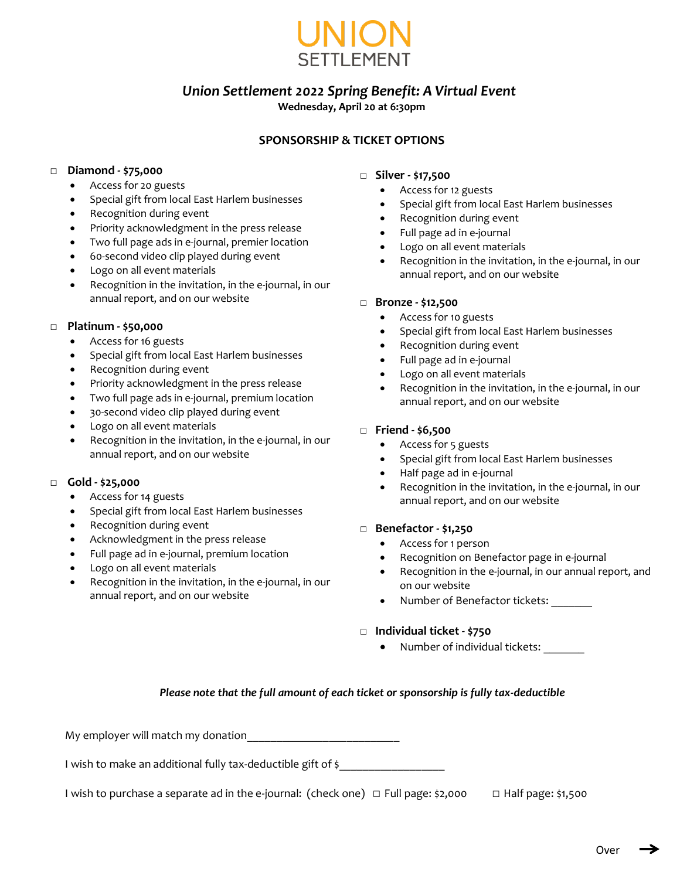

# *Union Settlement 2022 Spring Benefit: A Virtual Event*

# **Wednesday, April 20 at 6:30pm**

# **SPONSORSHIP & TICKET OPTIONS**

#### □ **Diamond - \$75,000**

- Access for 20 guests
- Special gift from local East Harlem businesses
- Recognition during event
- Priority acknowledgment in the press release
- Two full page ads in e-journal, premier location
- 60-second video clip played during event
- Logo on all event materials
- Recognition in the invitation, in the e-journal, in our annual report, and on our website

#### □ **Platinum - \$50,000**

- Access for 16 guests
- Special gift from local East Harlem businesses
- Recognition during event
- Priority acknowledgment in the press release
- Two full page ads in e-journal, premium location
- 30-second video clip played during event
- Logo on all event materials
- Recognition in the invitation, in the e-journal, in our annual report, and on our website

# □ **Gold - \$25,000**

- Access for 14 guests
- Special gift from local East Harlem businesses
- Recognition during event
- Acknowledgment in the press release
- Full page ad in e-journal, premium location
- Logo on all event materials
- Recognition in the invitation, in the e-journal, in our annual report, and on our website

#### □ **Silver - \$17,500**

- Access for 12 guests
- Special gift from local East Harlem businesses
- Recognition during event
- Full page ad in e-journal
- Logo on all event materials
- Recognition in the invitation, in the e-journal, in our annual report, and on our website

#### □ **Bronze - \$12,500**

- Access for 10 guests
- Special gift from local East Harlem businesses
- Recognition during event
- Full page ad in e-journal
- Logo on all event materials
- Recognition in the invitation, in the e-journal, in our annual report, and on our website

# □ **Friend - \$6,500**

- Access for 5 guests
- Special gift from local East Harlem businesses
- Half page ad in e-journal
- Recognition in the invitation, in the e-journal, in our annual report, and on our website

#### □ **Benefactor - \$1,250**

- Access for 1 person
- Recognition on Benefactor page in e-journal
- Recognition in the e-journal, in our annual report, and on our website
- Number of Benefactor tickets: \_\_\_\_\_\_\_

# □ **Individual ticket - \$750**

Number of individual tickets:

# *Please note that the full amount of each ticket or sponsorship is fully tax-deductible*

My employer will match my donation\_\_\_\_\_\_\_\_\_\_\_\_\_\_\_\_\_\_\_\_\_\_\_\_\_\_

I wish to make an additional fully tax-deductible gift of \$

I wish to purchase a separate ad in the e-journal: (check one) □ Full page: \$2,000 □ Half page: \$1,500